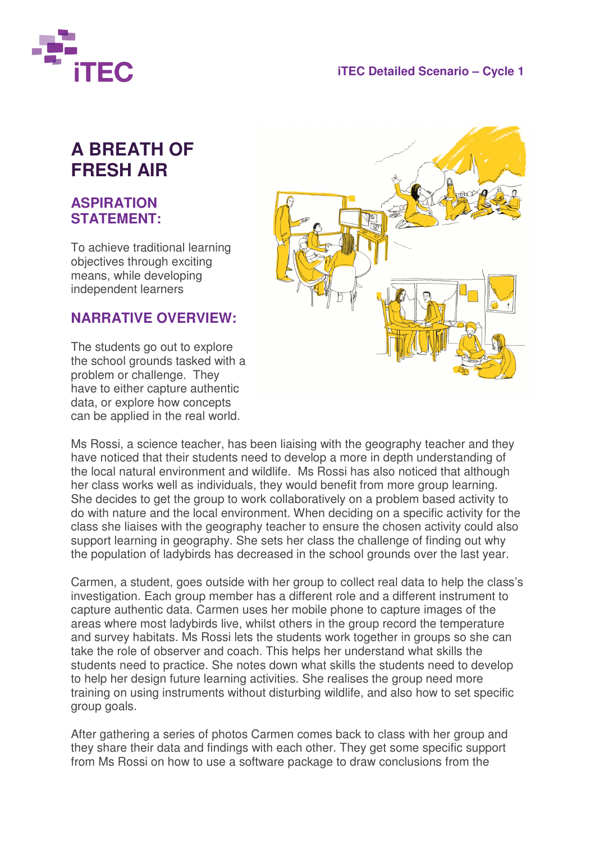

#### **iTEC Detailed Scenario – Cycle 1**

# **A BREATH OF FRESH AIR**

## **ASPIRATION STATEMENT:**

To achieve traditional learning objectives through exciting means, while developing independent learners

#### **NARRATIVE OVERVIEW:**

The students go out to explore the school grounds tasked with a problem or challenge. They have to either capture authentic data, or explore how concepts can be applied in the real world.



Ms Rossi, a science teacher, has been liaising with the geography teacher and they have noticed that their students need to develop a more in depth understanding of the local natural environment and wildlife. Ms Rossi has also noticed that although her class works well as individuals, they would benefit from more group learning. She decides to get the group to work collaboratively on a problem based activity to do with nature and the local environment. When deciding on a specific activity for the class she liaises with the geography teacher to ensure the chosen activity could also support learning in geography. She sets her class the challenge of finding out why the population of ladybirds has decreased in the school grounds over the last year.

Carmen, a student, goes outside with her group to collect real data to help the class's investigation. Each group member has a different role and a different instrument to capture authentic data. Carmen uses her mobile phone to capture images of the areas where most ladybirds live, whilst others in the group record the temperature and survey habitats. Ms Rossi lets the students work together in groups so she can take the role of observer and coach. This helps her understand what skills the students need to practice. She notes down what skills the students need to develop to help her design future learning activities. She realises the group need more training on using instruments without disturbing wildlife, and also how to set specific group goals.

After gathering a series of photos Carmen comes back to class with her group and they share their data and findings with each other. They get some specific support from Ms Rossi on how to use a software package to draw conclusions from the